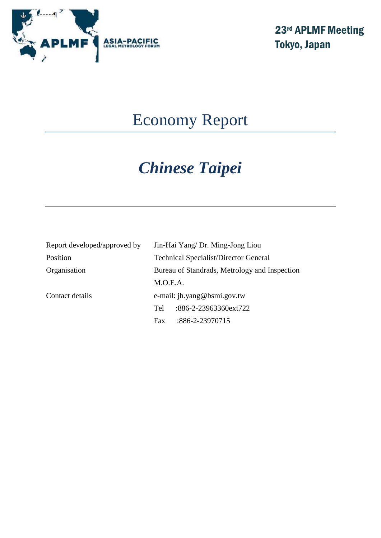

# Economy Report

# *Chinese Taipei*

| Report developed/approved by | Jin-Hai Yang/ Dr. Ming-Jong Liou              |                       |  |
|------------------------------|-----------------------------------------------|-----------------------|--|
| Position                     | <b>Technical Specialist/Director General</b>  |                       |  |
| Organisation                 | Bureau of Standrads, Metrology and Inspection |                       |  |
|                              | M.O.E.A.                                      |                       |  |
| Contact details              | e-mail: jh.yang@bsmi.gov.tw                   |                       |  |
|                              | Tel                                           | :886-2-23963360ext722 |  |
|                              | Fax                                           | :886-2-23970715       |  |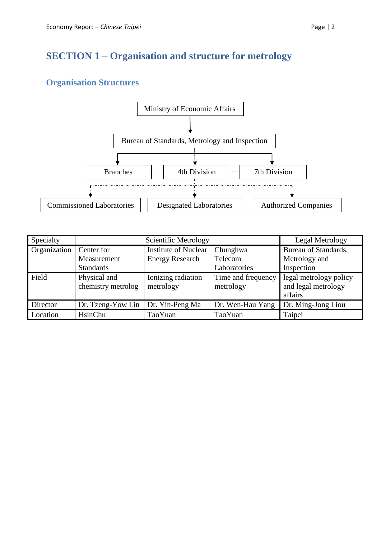# **SECTION 1 – Organisation and structure for metrology**

# **Organisation Structures**



| Specialty    |                                    | Legal Metrology                 |                                 |                                                          |
|--------------|------------------------------------|---------------------------------|---------------------------------|----------------------------------------------------------|
| Organization | Center for                         | <b>Institute of Nuclear</b>     | Chunghwa                        | Bureau of Standards,                                     |
|              | Measurement                        | <b>Energy Research</b>          | Telecom                         | Metrology and                                            |
|              | <b>Standards</b>                   |                                 | Laboratories                    | Inspection                                               |
| Field        | Physical and<br>chemistry metrolog | Ionizing radiation<br>metrology | Time and frequency<br>metrology | legal metrology policy<br>and legal metrology<br>affairs |
| Director     | Dr. Tzeng-Yow Lin                  | Dr. Yin-Peng Ma                 | Dr. Wen-Hau Yang                | Dr. Ming-Jong Liou                                       |
| Location     | HsinChu                            | TaoYuan                         | TaoYuan                         | Taipei                                                   |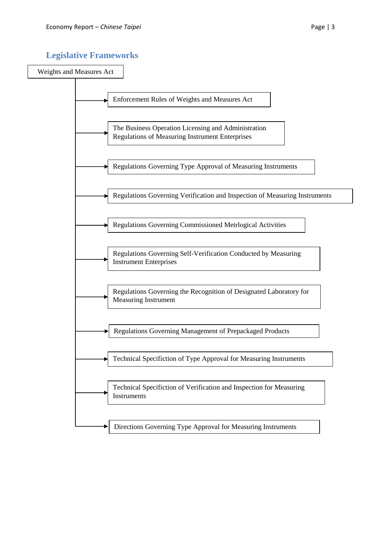## **Legislative Frameworks**

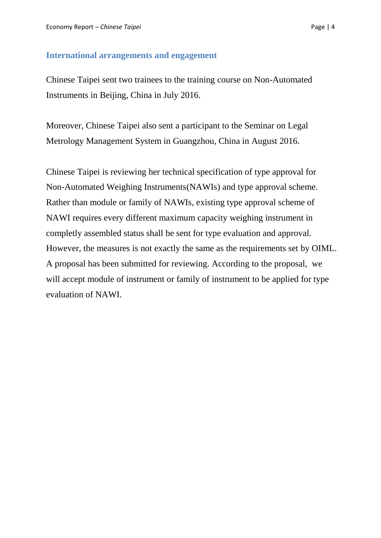#### **International arrangements and engagement**

Chinese Taipei sent two trainees to the training course on Non-Automated Instruments in Beijing, China in July 2016.

Moreover, Chinese Taipei also sent a participant to the Seminar on Legal Metrology Management System in Guangzhou, China in August 2016.

Chinese Taipei is reviewing her technical specification of type approval for Non-Automated Weighing Instruments(NAWIs) and type approval scheme. Rather than module or family of NAWIs, existing type approval scheme of NAWI requires every different maximum capacity weighing instrument in completly assembled status shall be sent for type evaluation and approval. However, the measures is not exactly the same as the requirements set by OIML. A proposal has been submitted for reviewing. According to the proposal, we will accept module of instrument or family of instrument to be applied for type evaluation of NAWI.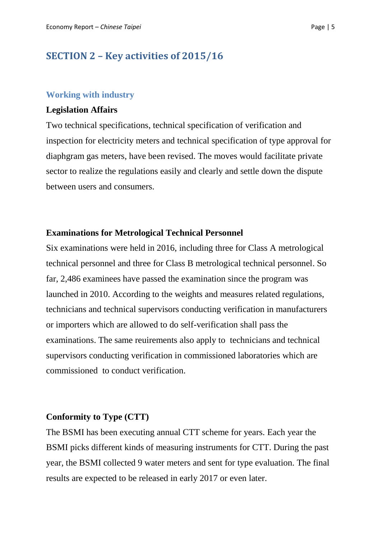## **SECTION 2 – Key activities of 2015/16**

#### **Working with industry**

#### **Legislation Affairs**

Two technical specifications, technical specification of verification and inspection for electricity meters and technical specification of type approval for diaphgram gas meters, have been revised. The moves would facilitate private sector to realize the regulations easily and clearly and settle down the dispute between users and consumers.

#### **Examinations for Metrological Technical Personnel**

Six examinations were held in 2016, including three for Class A metrological technical personnel and three for Class B metrological technical personnel. So far, 2,486 examinees have passed the examination since the program was launched in 2010. According to the weights and measures related regulations, technicians and technical supervisors conducting verification in manufacturers or importers which are allowed to do self-verification shall pass the examinations. The same reuirements also apply to technicians and technical supervisors conducting verification in commissioned laboratories which are commissioned to conduct verification.

#### **Conformity to Type (CTT)**

The BSMI has been executing annual CTT scheme for years. Each year the BSMI picks different kinds of measuring instruments for CTT. During the past year, the BSMI collected 9 water meters and sent for type evaluation. The final results are expected to be released in early 2017 or even later.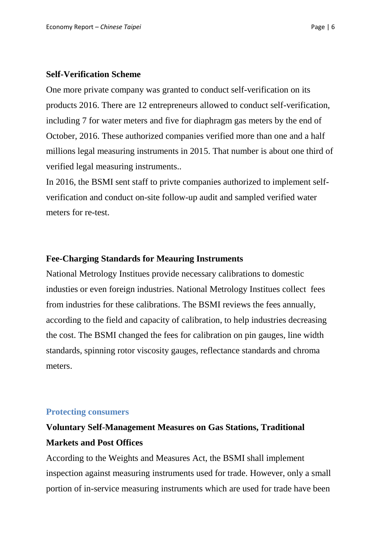#### **Self-Verification Scheme**

One more private company was granted to conduct self-verification on its products 2016. There are 12 entrepreneurs allowed to conduct self-verification, including 7 for water meters and five for diaphragm gas meters by the end of October, 2016. These authorized companies verified more than one and a half millions legal measuring instruments in 2015. That number is about one third of verified legal measuring instruments..

In 2016, the BSMI sent staff to privte companies authorized to implement selfverification and conduct on-site follow-up audit and sampled verified water meters for re-test.

#### **Fee-Charging Standards for Meauring Instruments**

National Metrology Institues provide necessary calibrations to domestic industies or even foreign industries. National Metrology Institues collect fees from industries for these calibrations. The BSMI reviews the fees annually, according to the field and capacity of calibration, to help industries decreasing the cost. The BSMI changed the fees for calibration on pin gauges, line width standards, spinning rotor viscosity gauges, reflectance standards and chroma meters.

#### **Protecting consumers**

# **Voluntary Self-Management Measures on Gas Stations, Traditional Markets and Post Offices**

According to the Weights and Measures Act, the BSMI shall implement inspection against measuring instruments used for trade. However, only a small portion of in-service measuring instruments which are used for trade have been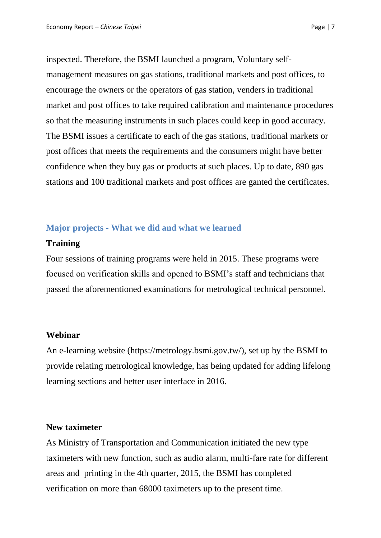inspected. Therefore, the BSMI launched a program, Voluntary selfmanagement measures on gas stations, traditional markets and post offices, to encourage the owners or the operators of gas station, venders in traditional market and post offices to take required calibration and maintenance procedures so that the measuring instruments in such places could keep in good accuracy. The BSMI issues a certificate to each of the gas stations, traditional markets or post offices that meets the requirements and the consumers might have better confidence when they buy gas or products at such places. Up to date, 890 gas stations and 100 traditional markets and post offices are ganted the certificates.

## **Major projects - What we did and what we learned**

### **Training**

Four sessions of training programs were held in 2015. These programs were focused on verification skills and opened to BSMI's staff and technicians that passed the aforementioned examinations for metrological technical personnel.

#### **Webinar**

An e-learning website [\(https://metrology.bsmi.gov.tw/\)](https://metrology.bsmi.gov.tw/), set up by the BSMI to provide relating metrological knowledge, has being updated for adding lifelong learning sections and better user interface in 2016.

## **New taximeter**

As Ministry of Transportation and Communication initiated the new type taximeters with new function, such as audio alarm, multi-fare rate for different areas and printing in the 4th quarter, 2015, the BSMI has completed verification on more than 68000 taximeters up to the present time.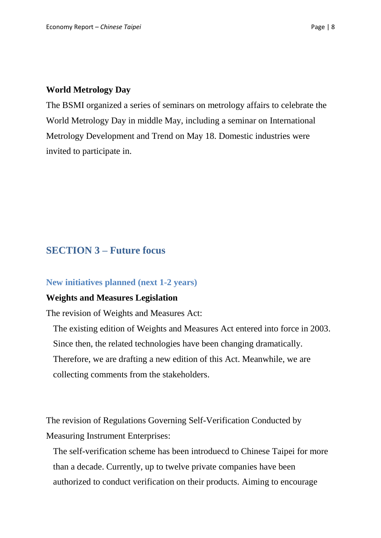#### **World Metrology Day**

The BSMI organized a series of seminars on metrology affairs to celebrate the World Metrology Day in middle May, including a seminar on International Metrology Development and Trend on May 18. Domestic industries were invited to participate in.

## **SECTION 3 – Future focus**

#### **New initiatives planned (next 1-2 years)**

#### **Weights and Measures Legislation**

The revision of Weights and Measures Act:

The existing edition of Weights and Measures Act entered into force in 2003. Since then, the related technologies have been changing dramatically. Therefore, we are drafting a new edition of this Act. Meanwhile, we are collecting comments from the stakeholders.

The revision of Regulations Governing Self-Verification Conducted by Measuring Instrument Enterprises:

The self-verification scheme has been introduecd to Chinese Taipei for more than a decade. Currently, up to twelve private companies have been authorized to conduct verification on their products. Aiming to encourage